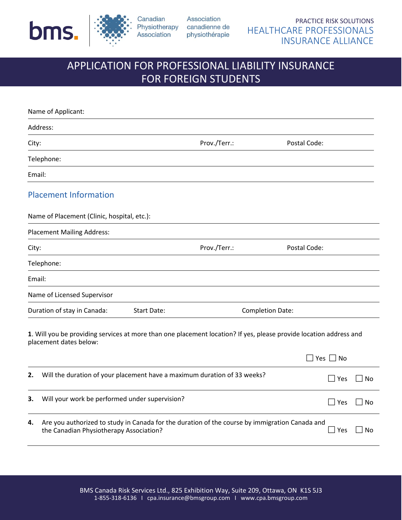



the Canadian Physiotherapy Association?

Canadian Association

# APPLICATION FOR PROFESSIONAL LIABILITY INSURANCE FOR FOREIGN STUDENTS

| Name of Applicant:                                                                                                                              |              |                                              |
|-------------------------------------------------------------------------------------------------------------------------------------------------|--------------|----------------------------------------------|
| Address:                                                                                                                                        |              |                                              |
| City:                                                                                                                                           | Prov./Terr.: | Postal Code:                                 |
| Telephone:                                                                                                                                      |              |                                              |
| Email:                                                                                                                                          |              |                                              |
| <b>Placement Information</b>                                                                                                                    |              |                                              |
| Name of Placement (Clinic, hospital, etc.):                                                                                                     |              |                                              |
| <b>Placement Mailing Address:</b>                                                                                                               |              |                                              |
| City:                                                                                                                                           | Prov./Terr.: | Postal Code:                                 |
| Telephone:                                                                                                                                      |              |                                              |
| Email:                                                                                                                                          |              |                                              |
| Name of Licensed Supervisor                                                                                                                     |              |                                              |
| Duration of stay in Canada:<br><b>Start Date:</b>                                                                                               |              | <b>Completion Date:</b>                      |
| 1. Will you be providing services at more than one placement location? If yes, please provide location address and<br>placement dates below:    |              |                                              |
|                                                                                                                                                 |              | ∃ Yes □ No                                   |
| Will the duration of your placement have a maximum duration of 33 weeks?<br>2.                                                                  |              | $\Box$ Yes<br><b>No</b>                      |
| Will your work be performed under supervision?<br>3.                                                                                            |              | $\Box$ Yes<br>No<br>$\overline{\phantom{a}}$ |
| Are you authorized to study in Canada for the duration of the course by immigration Canada and<br>4.<br>the Canadian Physiotherapy Association? |              | $\sqcup$ Yes<br>No                           |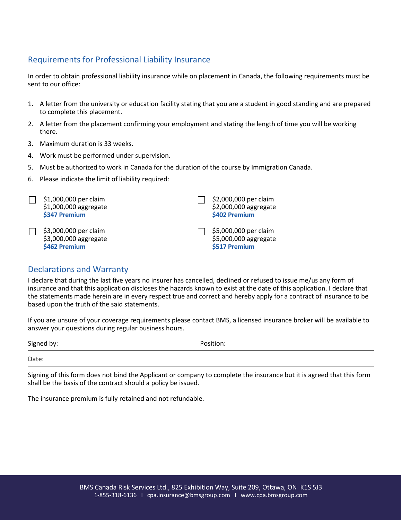# Requirements for Professional Liability Insurance

In order to obtain professional liability insurance while on placement in Canada, the following requirements must be sent to our office:

- 1. A letter from the university or education facility stating that you are a student in good standing and are prepared to complete this placement.
- 2. A letter from the placement confirming your employment and stating the length of time you will be working there.
- 3. Maximum duration is 33 weeks.
- 4. Work must be performed under supervision.
- 5. Must be authorized to work in Canada for the duration of the course by Immigration Canada.
- 6. Please indicate the limit of liability required:

| \$1,000,000 per claim<br>\$1,000,000 aggregate<br>\$347 Premium | \$2,000,000 per claim<br>\$2,000,000 aggregate<br>\$402 Premium |
|-----------------------------------------------------------------|-----------------------------------------------------------------|
| \$3,000,000 per claim<br>\$3,000,000 aggregate<br>\$462 Premium | \$5,000,000 per claim<br>\$5,000,000 aggregate<br>\$517 Premium |

#### Declarations and Warranty

I declare that during the last five years no insurer has cancelled, declined or refused to issue me/us any form of insurance and that this application discloses the hazards known to exist at the date of this application. I declare that the statements made herein are in every respect true and correct and hereby apply for a contract of insurance to be based upon the truth of the said statements.

If you are unsure of your coverage requirements please contact BMS, a licensed insurance broker will be available to answer your questions during regular business hours.

| Signed by: | Position: |
|------------|-----------|
| Date:      |           |

Signing of this form does not bind the Applicant or company to complete the insurance but it is agreed that this form shall be the basis of the contract should a policy be issued.

The insurance premium is fully retained and not refundable.